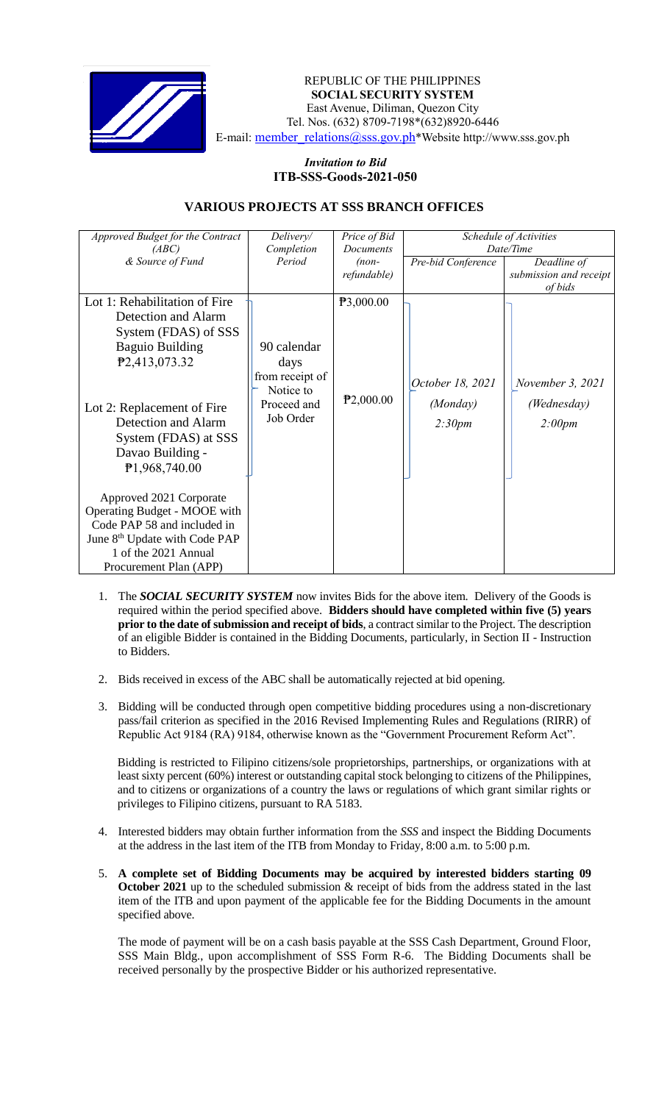

 *Invitation to Bid* REPUBLIC OF THE PHILIPPINES  **SOCIAL SECURITY SYSTEM** East Avenue, Diliman, Quezon City Tel. Nos. (632) 8709-7198\*(632)8920-6446 E-mail: [member\\_relations@sss.gov.ph](mailto:member_relations@sss.gov.ph)\*Website http://www.sss.gov.ph

## *Invitation to Bid*  **ITB-SSS-Goods-2021-050**

## **VARIOUS PROJECTS AT SSS BRANCH OFFICES**

| Approved Budget for the Contract<br>(ABC)                                                                                                                                             | Delivery/<br>Price of Bid<br>Completion<br>Documents               |                        | Schedule of Activities<br>Date/Time |                                       |
|---------------------------------------------------------------------------------------------------------------------------------------------------------------------------------------|--------------------------------------------------------------------|------------------------|-------------------------------------|---------------------------------------|
| & Source of Fund                                                                                                                                                                      | Period                                                             | $(non-$<br>refundable) | Pre-bid Conference                  | Deadline of<br>submission and receipt |
|                                                                                                                                                                                       |                                                                    |                        |                                     | of bids                               |
| Lot 1: Rehabilitation of Fire<br>Detection and Alarm<br>System (FDAS) of SSS<br><b>Baguio Building</b><br>P <sub>2</sub> ,413,073.32                                                  | 90 calendar<br>days<br>from receipt of<br>Notice to<br>Proceed and | P3,000.00<br>P2,000.00 | October 18, 2021<br>(Monday)        | November 3, 2021<br>(Wednesday)       |
| Lot 2: Replacement of Fire<br>Detection and Alarm<br>System (FDAS) at SSS<br>Davao Building -<br>P1,968,740.00                                                                        | Job Order                                                          |                        | 2:30pm                              | 2:00pm                                |
| Approved 2021 Corporate<br>Operating Budget - MOOE with<br>Code PAP 58 and included in<br>June 8 <sup>th</sup> Update with Code PAP<br>1 of the 2021 Annual<br>Procurement Plan (APP) |                                                                    |                        |                                     |                                       |

- 1. The *SOCIAL SECURITY SYSTEM* now invites Bids for the above item. Delivery of the Goods is required within the period specified above. **Bidders should have completed within five (5) years prior to the date of submission and receipt of bids**, a contract similar to the Project. The description of an eligible Bidder is contained in the Bidding Documents, particularly, in Section II - Instruction to Bidders.
- 2. Bids received in excess of the ABC shall be automatically rejected at bid opening.
- 3. Bidding will be conducted through open competitive bidding procedures using a non-discretionary pass/fail criterion as specified in the 2016 Revised Implementing Rules and Regulations (RIRR) of Republic Act 9184 (RA) 9184, otherwise known as the "Government Procurement Reform Act".

Bidding is restricted to Filipino citizens/sole proprietorships, partnerships, or organizations with at least sixty percent (60%) interest or outstanding capital stock belonging to citizens of the Philippines, and to citizens or organizations of a country the laws or regulations of which grant similar rights or privileges to Filipino citizens, pursuant to RA 5183.

- 4. Interested bidders may obtain further information from the *SSS* and inspect the Bidding Documents at the address in the last item of the ITB from Monday to Friday, 8:00 a.m. to 5:00 p.m.
- 5. **A complete set of Bidding Documents may be acquired by interested bidders starting 09 October 2021** up to the scheduled submission & receipt of bids from the address stated in the last item of the ITB and upon payment of the applicable fee for the Bidding Documents in the amount specified above.

The mode of payment will be on a cash basis payable at the SSS Cash Department, Ground Floor, SSS Main Bldg., upon accomplishment of SSS Form R-6. The Bidding Documents shall be received personally by the prospective Bidder or his authorized representative.